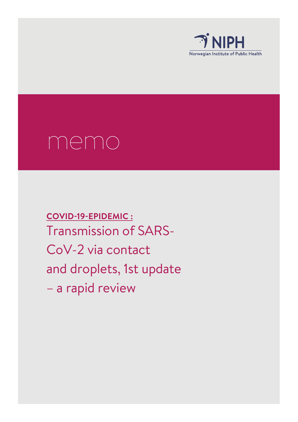

# memo

**COVID-19-EPIDEMIC :** Transmission of SARS-CoV-2 via contact and droplets, 1st update – a rapid review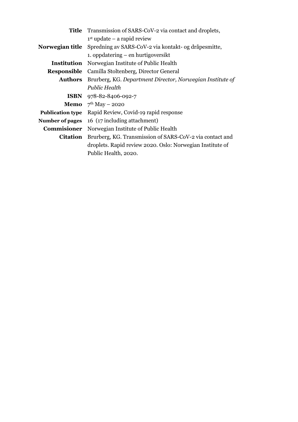| Title                   | Transmission of SARS-CoV-2 via contact and droplets,      |  |  |
|-------------------------|-----------------------------------------------------------|--|--|
|                         | $1st$ update – a rapid review                             |  |  |
| Norwegian title         | Spredning av SARS-CoV-2 via kontakt- og dråpesmitte,      |  |  |
|                         | 1. oppdatering – en hurtigoversikt                        |  |  |
|                         | <b>Institution</b> Norwegian Institute of Public Health   |  |  |
| <b>Responsible</b>      | Camilla Stoltenberg, Director General                     |  |  |
| <b>Authors</b>          | Brurberg, KG. Department Director, Norwegian Institute of |  |  |
|                         | Public Health                                             |  |  |
|                         | ISBN 978-82-8406-092-7                                    |  |  |
|                         | <b>Memo</b> $7^{th}$ May – 2020                           |  |  |
| <b>Publication type</b> | Rapid Review, Covid-19 rapid response                     |  |  |
| Number of pages         | 16 (17 including attachment)                              |  |  |
| Commisioner             | Norwegian Institute of Public Health                      |  |  |
| <b>Citation</b>         | Brurberg, KG. Transmission of SARS-CoV-2 via contact and  |  |  |
|                         | droplets. Rapid review 2020. Oslo: Norwegian Institute of |  |  |
|                         | Public Health, 2020.                                      |  |  |
|                         |                                                           |  |  |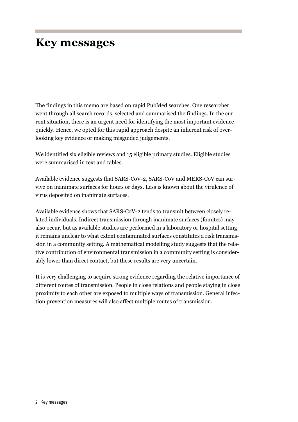# <span id="page-2-0"></span>**Key messages**

The findings in this memo are based on rapid PubMed searches. One researcher went through all search records, selected and summarised the findings. In the current situation, there is an urgent need for identifying the most important evidence quickly. Hence, we opted for this rapid approach despite an inherent risk of overlooking key evidence or making misguided judgements.

We identified six eligible reviews and 15 eligible primary studies. Eligible studies were summarised in text and tables.

Available evidence suggests that SARS-CoV-2, SARS-CoV and MERS-CoV can survive on inanimate surfaces for hours or days. Less is known about the virulence of virus deposited on inanimate surfaces.

Available evidence shows that SARS-CoV-2 tends to transmit between closely related individuals. Indirect transmission through inanimate surfaces (fomites) may also occur, but as available studies are performed in a laboratory or hospital setting it remains unclear to what extent contaminated surfaces constitutes a risk transmission in a community setting. A mathematical modelling study suggests that the relative contribution of environmental transmission in a community setting is considerably lower than direct contact, but these results are very uncertain.

It is very challenging to acquire strong evidence regarding the relative importance of different routes of transmission. People in close relations and people staying in close proximity to each other are exposed to multiple ways of transmission. General infection prevention measures will also affect multiple routes of transmission.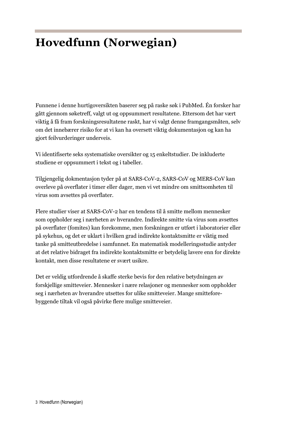# <span id="page-3-0"></span>**Hovedfunn (Norwegian)**

Funnene i denne hurtigoversikten baserer seg på raske søk i PubMed. Én forsker har gått gjennom søketreff, valgt ut og oppsummert resultatene. Ettersom det har vært viktig å få fram forskningsresultatene raskt, har vi valgt denne framgangsmåten, selv om det innebærer risiko for at vi kan ha oversett viktig dokumentasjon og kan ha gjort feilvurderinger underveis.

Vi identifiserte seks systematiske oversikter og 15 enkeltstudier. De inkluderte studiene er oppsummert i tekst og i tabeller.

Tilgjengelig dokmentasjon tyder på at SARS-CoV-2, SARS-CoV og MERS-CoV kan overleve på overflater i timer eller dager, men vi vet mindre om smittsomheten til virus som avsettes på overflater.

Flere studier viser at SARS-CoV-2 har en tendens til å smitte mellom mennesker som oppholder seg i nærheten av hverandre. Indirekte smitte via virus som avsettes på overflater (fomites) kan forekomme, men forskningen er utført i laboratorier eller på sykehus, og det er uklart i hvilken grad indirekte kontaktsmitte er viktig med tanke på smitteutbredelse i samfunnet. En matematisk modelleringsstudie antyder at det relative bidraget fra indirekte kontaktsmitte er betydelig lavere enn for direkte kontakt, men disse resultatene er svært usikre.

Det er veldig utfordrende å skaffe sterke bevis for den relative betydningen av forskjellige smitteveier. Mennesker i nære relasjoner og mennesker som oppholder seg i nærheten av hverandre utsettes for ulike smitteveier. Mange smitteforebyggende tiltak vil også påvirke flere mulige smitteveier.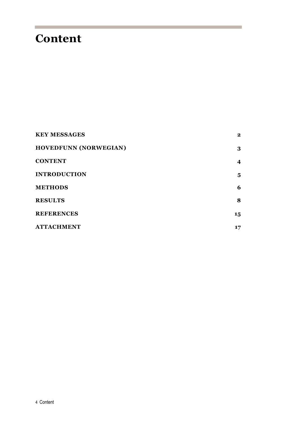# <span id="page-4-0"></span>**Content**

| <b>KEY MESSAGES</b>          | $\mathbf{2}$     |
|------------------------------|------------------|
| <b>HOVEDFUNN (NORWEGIAN)</b> | 3                |
| <b>CONTENT</b>               | $\boldsymbol{4}$ |
| <b>INTRODUCTION</b>          | 5                |
| <b>METHODS</b>               | 6                |
| <b>RESULTS</b>               | 8                |
| <b>REFERENCES</b>            | 15               |
| <b>ATTACHMENT</b>            | 17               |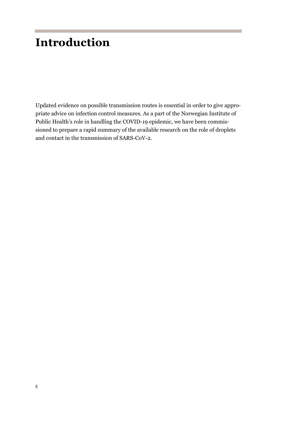# <span id="page-5-0"></span>**Introduction**

Updated evidence on possible transmission routes is essential in order to give appropriate advice on infection control measures. As a part of the Norwegian Institute of Public Health's role in handling the COVID-19 epidemic, we have been commissioned to prepare a rapid summary of the available research on the role of droplets and contact in the transmission of SARS-CoV-2.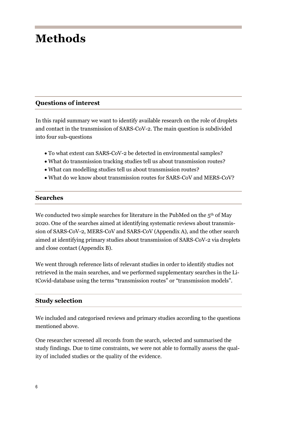# <span id="page-6-0"></span>**Methods**

#### **Questions of interest**

In this rapid summary we want to identify available research on the role of droplets and contact in the transmission of SARS-CoV-2. The main question is subdivided into four sub-questions

- To what extent can SARS-CoV-2 be detected in environmental samples?
- What do transmission tracking studies tell us about transmission routes?
- What can modelling studies tell us about transmission routes?
- What do we know about transmission routes for SARS-CoV and MERS-CoV?

#### **Searches**

We conducted two simple searches for literature in the PubMed on the  $5<sup>th</sup>$  of May 2020. One of the searches aimed at identifying systematic reviews about transmission of SARS-CoV-2, MERS-CoV and SARS-CoV (Appendix A), and the other search aimed at identifying primary studies about transmission of SARS-CoV-2 via droplets and close contact (Appendix B).

We went through reference lists of relevant studies in order to identify studies not retrieved in the main searches, and we performed supplementary searches in the LitCovid-database using the terms "transmission routes" or "transmission models".

#### **Study selection**

We included and categorised reviews and primary studies according to the questions mentioned above.

One researcher screened all records from the search, selected and summarised the study findings. Due to time constraints, we were not able to formally assess the quality of included studies or the quality of the evidence.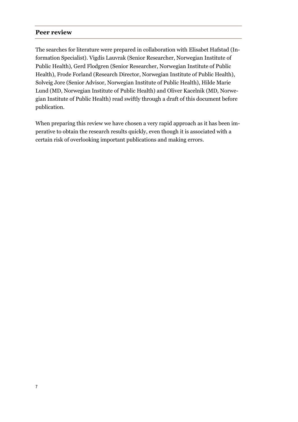#### **Peer review**

The searches for literature were prepared in collaboration with Elisabet Hafstad (Information Specialist). Vigdis Lauvrak (Senior Researcher, Norwegian Institute of Public Health), Gerd Flodgren (Senior Researcher, Norwegian Institute of Public Health), Frode Forland (Research Director, Norwegian Institute of Public Health), Solveig Jore (Senior Advisor, Norwegian Institute of Public Health), Hilde Marie Lund (MD, Norwegian Institute of Public Health) and Oliver Kacelnik (MD, Norwegian Institute of Public Health) read swiftly through a draft of this document before publication.

When preparing this review we have chosen a very rapid approach as it has been imperative to obtain the research results quickly, even though it is associated with a certain risk of overlooking important publications and making errors.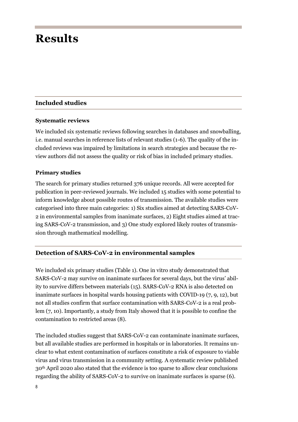## <span id="page-8-0"></span>**Results**

#### **Included studies**

#### **Systematic reviews**

We included six systematic reviews following searches in databases and snowballing, i.e. manual searches in reference lists of relevant studies (1-6). The quality of the included reviews was impaired by limitations in search strategies and because the review authors did not assess the quality or risk of bias in included primary studies.

#### **Primary studies**

The search for primary studies returned 376 unique records. All were accepted for publication in peer-reviewed journals. We included 15 studies with some potential to inform knowledge about possible routes of transmission. The available studies were categorised into three main categories: 1) Six studies aimed at detecting SARS-CoV-2 in environmental samples from inanimate surfaces, 2) Eight studies aimed at tracing SARS-CoV-2 transmission, and 3) One study explored likely routes of transmission through mathematical modelling.

#### **Detection of SARS-CoV-2 in environmental samples**

We included six primary studies (Table 1). One in vitro study demonstrated that SARS-CoV-2 may survive on inanimate surfaces for several days, but the virus' ability to survive differs between materials (15). SARS-CoV-2 RNA is also detected on inanimate surfaces in hospital wards housing patients with COVID-19 (7, 9, 12), but not all studies confirm that surface contamination with SARS-CoV-2 is a real problem (7, 10). Importantly, a study from Italy showed that it is possible to confine the contamination to restricted areas (8).

The included studies suggest that SARS-CoV-2 can contaminate inanimate surfaces, but all available studies are performed in hospitals or in laboratories. It remains unclear to what extent contamination of surfaces constitute a risk of exposure to viable virus and virus transmission in a community setting. A systematic review published 30th April 2020 also stated that the evidence is too sparse to allow clear conclusions regarding the ability of SARS-CoV-2 to survive on inanimate surfaces is sparse (6).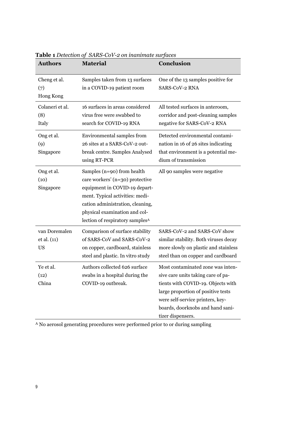| <b>Authors</b>                            | <b>Material</b>                                                                                                                                                                                                                                       | Conclusion                                                                                                                                                                                                                                       |
|-------------------------------------------|-------------------------------------------------------------------------------------------------------------------------------------------------------------------------------------------------------------------------------------------------------|--------------------------------------------------------------------------------------------------------------------------------------------------------------------------------------------------------------------------------------------------|
| Cheng et al.<br>(7)<br>Hong Kong          | Samples taken from 13 surfaces<br>in a COVID-19 patient room                                                                                                                                                                                          | One of the 13 samples positive for<br>SARS-CoV-2 RNA                                                                                                                                                                                             |
| Colaneri et al.<br>(8)<br>Italy           | 16 surfaces in areas considered<br>virus free were swabbed to<br>search for COVID-19 RNA                                                                                                                                                              | All tested surfaces in anteroom,<br>corridor and post-cleaning samples<br>negative for SARS-CoV-2 RNA                                                                                                                                            |
| Ong et al.<br>(9)<br>Singapore            | Environmental samples from<br>26 sites at a SARS-CoV-2 out-<br>break centre. Samples Analysed<br>using RT-PCR                                                                                                                                         | Detected environmental contami-<br>nation in 16 of 26 sites indicating<br>that environment is a potential me-<br>dium of transmission                                                                                                            |
| Ong et al.<br>(10)<br>Singapore           | Samples (n=90) from health<br>care workers' (n=30) protective<br>equipment in COVID-19 depart-<br>ment. Typical activities: medi-<br>cation administration, cleaning,<br>physical examination and col-<br>lection of respiratory samples <sup>A</sup> | All 90 samples were negative                                                                                                                                                                                                                     |
| van Doremalen<br>et al. (11)<br><b>US</b> | Comparison of surface stability<br>of SARS-CoV and SARS-CoV-2<br>on copper, cardboard, stainless<br>steel and plastic. In vitro study                                                                                                                 | SARS-CoV-2 and SARS-CoV show<br>similar stability. Both viruses decay<br>more slowly on plastic and stainless<br>steel than on copper and cardboard                                                                                              |
| Ye et al.<br>(12)<br>China                | Authors collected 626 surface<br>swabs in a hospital during the<br>COVID-19 outbreak.                                                                                                                                                                 | Most contaminated zone was inten-<br>sive care units taking care of pa-<br>tients with COVID-19. Objects with<br>large proportion of positive tests<br>were self-service printers, key-<br>boards, doorknobs and hand sani-<br>tizer dispensers. |

**Table 1** *Detection of SARS-CoV-2 on inanimate surfaces*

<sup>A</sup> No aerosol generating procedures were performed prior to or during sampling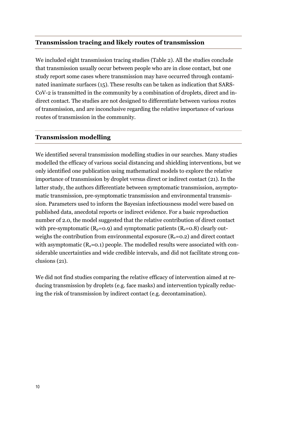#### **Transmission tracing and likely routes of transmission**

We included eight transmission tracing studies (Table 2). All the studies conclude that transmission usually occur between people who are in close contact, but one study report some cases where transmission may have occurred through contaminated inanimate surfaces (15). These results can be taken as indication that SARS-CoV-2 is transmitted in the community by a combination of droplets, direct and indirect contact. The studies are not designed to differentiate between various routes of transmission, and are inconclusive regarding the relative importance of various routes of transmission in the community.

#### **Transmission modelling**

We identified several transmission modelling studies in our searches. Many studies modelled the efficacy of various social distancing and shielding interventions, but we only identified one publication using mathematical models to explore the relative importance of transmission by droplet versus direct or indirect contact (21). In the latter study, the authors differentiate between symptomatic transmission, asymptomatic transmission, pre-symptomatic transmission and environmental transmission. Parameters used to inform the Bayesian infectiousness model were based on published data, anecdotal reports or indirect evidence. For a basic reproduction number of 2.0, the model suggested that the relative contribution of direct contact with pre-symptomatic ( $R_p$ =0.9) and symptomatic patients ( $R_s$ =0.8) clearly outweighs the contribution from environmental exposure  $(R_e=0.2)$  and direct contact with asymptomatic  $(R_a=0.1)$  people. The modelled results were associated with considerable uncertainties and wide credible intervals, and did not facilitate strong conclusions (21).

We did not find studies comparing the relative efficacy of intervention aimed at reducing transmission by droplets (e.g. face masks) and intervention typically reducing the risk of transmission by indirect contact (e.g. decontamination).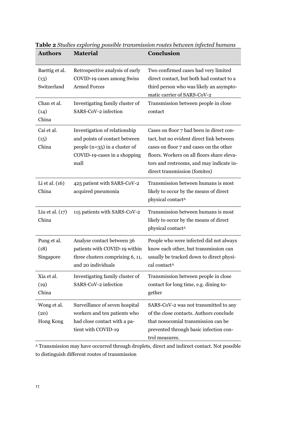| <b>Authors</b>                                                        | <b>Material</b>                                                                                                                                 | <b>Conclusion</b>                                                                                                                                                                                                                                          |
|-----------------------------------------------------------------------|-------------------------------------------------------------------------------------------------------------------------------------------------|------------------------------------------------------------------------------------------------------------------------------------------------------------------------------------------------------------------------------------------------------------|
| Baettig et al.<br>(13)<br>Switzerland<br>Chan et al.<br>(14)<br>China | Retrospective analysis of early<br>COVID-19 cases among Swiss<br><b>Armed Forces</b><br>Investigating family cluster of<br>SARS-CoV-2 infection | Two confirmed cases had very limited<br>direct contact, but both had contact to a<br>third person who was likely an asympto-<br>matic carrier of SARS-CoV-2<br>Transmission between people in close<br>contact                                             |
| Cai et al.<br>(15)<br>China                                           | Investigation of relationship<br>and points of contact between<br>people $(n=35)$ in a cluster of<br>COVID-19-cases in a shopping<br>mall       | Cases on floor 7 had been in direct con-<br>tact, but no evident direct link between<br>cases on floor 7 and cases on the other<br>floors. Workers on all floors share eleva-<br>tors and restrooms, and may indicate in-<br>direct transmission (fomites) |
| Li et al. (16)<br>China                                               | 425 patient with SARS-CoV-2<br>acquired pneumonia                                                                                               | Transmission between humans is most<br>likely to occur by the means of direct<br>physical contact <sup>A</sup>                                                                                                                                             |
| Liu et al. $(17)$<br>China                                            | 115 patients with SARS-CoV-2                                                                                                                    | Transmission between humans is most<br>likely to occur by the means of direct<br>physical contact <sup>A</sup>                                                                                                                                             |
| Pung et al.<br>(18)<br>Singapore                                      | Analyse contact between 36<br>patients with COVID-19 within<br>three clusters comprising 6, 11,<br>and 20 individuals                           | People who were infected did not always<br>know each other, but transmission can<br>usually be tracked down to direct physi-<br>cal contact <sup>A</sup>                                                                                                   |
| Xia et al.<br>(19)<br>China                                           | Investigating family cluster of<br>SARS-CoV-2 infection                                                                                         | Transmission between people in close<br>contact for long time, e.g. dining to-<br>gether                                                                                                                                                                   |
| Wong et al.<br>(20)<br>Hong Kong                                      | Surveillance of seven hospital<br>workers and ten patients who<br>had close contact with a pa-<br>tient with COVID-19                           | SARS-CoV-2 was not transmitted to any<br>of the close contacts. Authors conclude<br>that nosocomial transmission can be<br>prevented through basic infection con-<br>trol measures.                                                                        |

**Table 2** *Studies exploring possible transmission routes between infected humans*

<sup>A</sup> Transmission may have occurred through droplets, direct and indirect contact. Not possible to distinguish different routes of transmission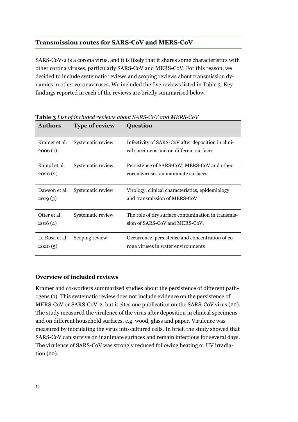#### **Transmission routes for SARS-CoV and MERS-CoV**

SARS-CoV-2 is a corona virus, and it is likely that it shares some characteristics with other corona viruses, particularly SARS-CoV and MERS-CoV. For this reason, we decided to include systematic reviews and scoping reviews about transmission dynamics in other coronaviruses. We included the five reviews listed in Table 3. Key findings reported in each of the reviews are briefly summarised below.

| <b>Authors</b>           | <b>Type of review</b> | <b>Question</b>                                                                               |
|--------------------------|-----------------------|-----------------------------------------------------------------------------------------------|
| Kramer et al.<br>2006(1) | Systematic review     | Infectivity of SARS-CoV after deposition in clini-<br>cal specimens and on different surfaces |
| Kampf et al.<br>2020(2)  | Systematic review     | Persistence of SARS-CoV, MERS-CoV and other<br>coronaviruses on inanimate surfaces            |
| Dawson et al.<br>2019(3) | Systematic review     | Virology, clinical characteristics, epidemiology<br>and transmission of MERS-CoV              |
| Otter et al.<br>2016(4)  | Systematic review     | The role of dry surface contamination in transmis-<br>sion of SARS-CoV and MERS-CoV.          |
| La Rosa et al<br>2020(5) | Scoping review        | Occurrence, persistence and concentration of co-<br>rona viruses in water environments        |

**Table 3** *List of included reviews about SARS-CoV and MERS-CoV*

#### **Overview of included reviews**

Kramer and co-workers summarized studies about the persistence of different pathogens (1). This systematic review does not include evidence on the persistence of MERS-CoV or SARS-CoV-2, but it cites one publication on the SARS-CoV virus (22). The study measured the virulence of the virus after deposition in clinical specimens and on different household surfaces, e.g. wood, glass and paper. Virulence was measured by inoculating the virus into cultured cells. In brief, the study showed that SARS-CoV can survive on inanimate surfaces and remain infectious for several days. The virulence of SARS-CoV was strongly reduced following heating or UV irradiation (22).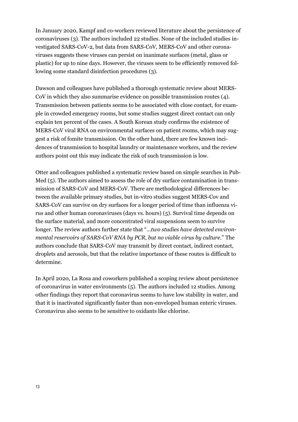In January 2020, Kampf and co-workers reviewed literature about the persistence of coronaviruses (3). The authors included 22 studies. None of the included studies investigated SARS-CoV-2, but data from SARS-CoV, MERS-CoV and other coronaviruses suggests these viruses can persist on inanimate surfaces (metal, glass or plastic) for up to nine days. However, the viruses seem to be efficiently removed following some standard disinfection procedures (3).

Dawson and colleagues have published a thorough systematic review about MERS-CoV in which they also summarise evidence on possible transmission routes (4). Transmission between patients seems to be associated with close contact, for example in crowded emergency rooms, but some studies suggest direct contact can only explain ten percent of the cases. A South Korean study confirms the existence of MERS-CoV viral RNA on environmental surfaces on patient rooms, which may suggest a risk of fomite transmission. On the other hand, there are few known incidences of transmission to hospital laundry or maintenance workers, and the review authors point out this may indicate the risk of such transmission is low.

Otter and colleagues published a systematic review based on simple searches in Pub-Med (5). The authors aimed to assess the role of dry surface contamination in transmission of SARS-CoV and MERS-CoV. There are methodological differences between the available primary studies, but in-vitro studies suggest MERS-Cov and SARS-CoV can survive on dry surfaces for a longer period of time than influenza virus and other human coronaviruses (days vs. hours) (5). Survival time depends on the surface material, and more concentrated viral suspensions seem to survive longer. The review authors further state that "…*two studies have detected environmental reservoirs of SARS-CoV RNA by PCR, but no viable virus by culture*." The authors conclude that SARS-CoV may transmit by direct contact, indirect contact, droplets and aerosols, but that the relative importance of these routes is difficult to determine.

In April 2020, La Rosa and coworkers published a scoping review about persistence of coronavirus in water environments (5). The authors included 12 studies. Among other findings they report that coronavirus seems to have low stability in water, and that it is inactivated significantly faster than non-enveloped human enteric viruses. Coronavirus also seems to be sensitive to oxidants like chlorine.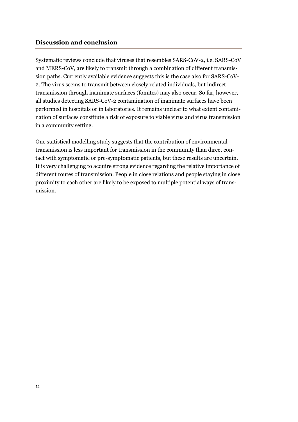#### **Discussion and conclusion**

Systematic reviews conclude that viruses that resembles SARS-CoV-2, i.e. SARS-CoV and MERS-CoV, are likely to transmit through a combination of different transmission paths. Currently available evidence suggests this is the case also for SARS-CoV-2. The virus seems to transmit between closely related individuals, but indirect transmission through inanimate surfaces (fomites) may also occur. So far, however, all studies detecting SARS-CoV-2 contamination of inanimate surfaces have been performed in hospitals or in laboratories. It remains unclear to what extent contamination of surfaces constitute a risk of exposure to viable virus and virus transmission in a community setting.

One statistical modelling study suggests that the contribution of environmental transmission is less important for transmission in the community than direct contact with symptomatic or pre-symptomatic patients, but these results are uncertain. It is very challenging to acquire strong evidence regarding the relative importance of different routes of transmission. People in close relations and people staying in close proximity to each other are likely to be exposed to multiple potential ways of transmission.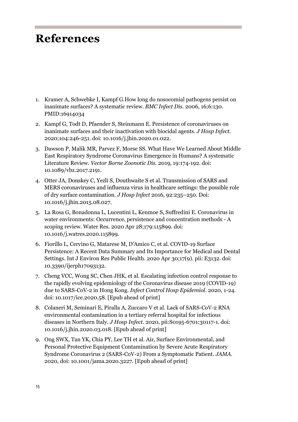## <span id="page-15-0"></span>**References**

- 1. Kramer A, Schwebke I, Kampf G[.How long do nosocomial pathogens persist on](https://www.ncbi.nlm.nih.gov/pubmed/16914034)  inanimate [surfaces? A](https://www.ncbi.nlm.nih.gov/pubmed/16914034) systematic review. *BMC Infect Dis.* 2006, 16;6:130. PMID:16914034
- 2. Kampf G, Todt D, Pfaender S, Steinmann E. Persistence of coronaviruses on inanimate surfaces and their inactivation with biocidal agents. *J Hosp Infect.* 2020;104:246-251. doi: 10.1016/j.jhin.2020.01.022.
- 3. Dawson P, Malik MR, Parvez F, Morse SS[. What Have We Learned About](https://www.ncbi.nlm.nih.gov/pubmed/30676269) Middle [East Respiratory Syndrome Coronavirus](https://www.ncbi.nlm.nih.gov/pubmed/30676269) Emergence in Humans? A systematic [Literature Review.](https://www.ncbi.nlm.nih.gov/pubmed/30676269) *Vector Borne Zoonotic Dis.* 2019, 19:174-192. doi: 10.1089/vbz.2017.2191.
- 4. Otter JA, Donskey C, Yezli S, Douthwaite S et al. Transmission of SARS and MERS coronaviruses and influenza virus in healthcare settings: the possible role of dry surface contamination. *J Hosp Infect* 2016, 92:235–250. Doi: 10.1016/j.jhin.2015.08.027.
- 5. La Rosa G, Bonadonna L, Lucentini L, Kenmoe S, Suffredini E. Coronavirus in water environments: Occurrence, persistence and concentration methods - A scoping review. Water Res. 2020 Apr 28;179:115899. doi: 10.1016/j.watres.2020.115899.
- 6. Fiorillo L, Cervino G, Matarese M, D'Amico C, et al. COVID-19 Surface Persistence: A Recent Data Summary and Its Importance for Medical and Dental Settings. Int J Environ Res Public Health. 2020 Apr 30;17(9). pii: E3132. doi: 10.3390/ijerph17093132.
- 7. Cheng VCC, Wong SC, Chen JHK, et al. Escalating infection control response to the rapidly evolving epidemiology of the Coronavirus disease 2019 (COVID-19) due to SARS-CoV-2 in Hong Kong. *Infect Control Hosp Epidemiol.* 2020, 1-24. doi: 10.1017/ice.2020.58. [Epub ahead of print]
- 8. Colaneri M, Seminari E, Piralla A, Zuccaro V et al. Lack of SARS-CoV-2 RNA environmental contamination in a tertiary referral hospital for infectious diseases in Northern Italy. *J Hosp Infect.* 2020, pii:S0195-6701:30117-1. doi: 10.1016/j.jhin.2020.03.018. [Epub ahead of print]
- 9. Ong SWX, Tan YK, Chia PY, Lee TH et al. Air, Surface Environmental, and Personal Protective Equipment Contamination by Severe Acute Respiratory Syndrome Coronavirus 2 (SARS-CoV-2) From a Symptomatic Patient. *JAMA.* 2020, doi: 10.1001/jama.2020.3227. [Epub ahead of print]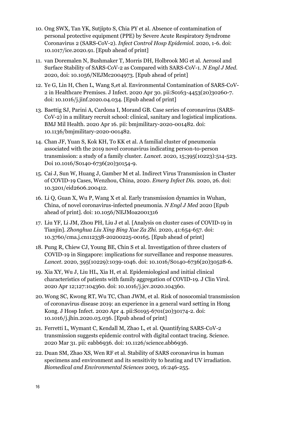- 10. Ong SWX, Tan YK, Sutjipto S, Chia PY et al. Absence of contamination of personal protective equipment (PPE) by Severe Acute Respiratory Syndrome Coronavirus 2 (SARS-CoV-2). *Infect Control Hosp Epidemiol.* 2020, 1-6. doi: 10.1017/ice.2020.91. [Epub ahead of print]
- 11. van Doremalen N, Bushmaker T, Morris DH, Holbrook MG et al. Aerosol and Surface Stability of SARS-CoV-2 as Compared with SARS-CoV-1. *N Engl J Med.* 2020, doi: 10.1056/NEJMc2004973. [Epub ahead of print]
- 12. Ye G, Lin H, Chen L, Wang S,et al. Environmental Contamination of SARS-CoV-2 in Healthcare Premises. J Infect. 2020 Apr 30. pii:S0163-4453(20)30260-7. doi: 10.1016/j.jinf.2020.04.034. [Epub ahead of print]
- 13. Baettig SJ, Parini A, Cardona I, Morand GB. Case series of coronavirus (SARS-CoV-2) in a military recruit school: clinical, sanitary and logistical implications. BMJ Mil Health. 2020 Apr 16. pii: bmjmilitary-2020-001482. doi: 10.1136/bmjmilitary-2020-001482.
- 14. Chan JF, Yuan S, Kok KH, To KK et al. A familial cluster of pneumonia associated with the 2019 novel coronavirus indicating person-to-person transmission: a study of a family cluster. *Lancet.* 2020, 15;395(10223):514-523. Doi 10.1016/S0140-6736(20)30154-9.
- 15. Cai J, Sun W, Huang J, Gamber M et al. Indirect Virus Transmission in Cluster of COVID-19 Cases, Wenzhou, China, 2020. *Emerg Infect Dis.* 2020, 26. doi: 10.3201/eid2606.200412.
- 16. Li Q, Guan X, Wu P, Wang X et al. Early transmission dynamics in Wuhan, China, of novel coronavirus-infected pneumonia. *N Engl J Med* 2020 [Epub ahead of print]. doi: 10.1056/NEJMoa2001316
- 17. Liu YF, Li JM, Zhou PH, Liu J et al. [Analysis on cluster cases of COVID-19 in Tianjin]. *Zhonghua Liu Xing Bing Xue Za Zhi.* 2020, 41:654-657. doi: 10.3760/cma.j.cn112338-20200225-00165. [Epub ahead of print]
- 18. Pung R, Chiew CJ, Young BE, Chin S et al. Investigation of three clusters of COVID-19 in Singapore: implications for surveillance and response measures. *Lancet.* 2020, 395(10229):1039-1046. doi: 10.1016/S0140-6736(20)30528-6.
- 19. Xia XY, Wu J, Liu HL, Xia H, et al. Epidemiological and initial clinical characteristics of patients with family aggregation of COVID-19. J Clin Virol. 2020 Apr 12;127:104360. doi: 10.1016/j.jcv.2020.104360.
- 20. Wong SC, Kwong RT, Wu TC, Chan JWM, et al. Risk of nosocomial transmission of coronavirus disease 2019: an experience in a general ward setting in Hong Kong. J Hosp Infect. 2020 Apr 4. pii:S0195-6701(20)30174-2. doi: 10.1016/j.jhin.2020.03.036. [Epub ahead of print]
- 21. Ferretti L, Wymant C, Kendall M, Zhao L, et al. Quantifying SARS-CoV-2 transmission suggests epidemic control with digital contact tracing. Science. 2020 Mar 31. pii: eabb6936. doi: 10.1126/science.abb6936.
- 22. Duan SM, Zhao XS, Wen RF et al. Stability of SARS coronavirus in human specimens and environment and its sensitivity to heating and UV irradiation. *Biomedical and Environmental Sciences* 2003, 16:246-255.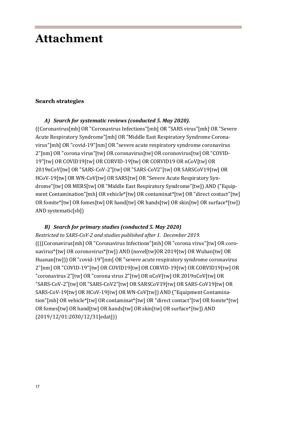### <span id="page-17-0"></span>**Attachment**

#### **Search strategies**

#### *A) Search for systematic reviews (conducted 5. May 2020).*

((Coronavirus[mh] OR "Coronavirus Infections"[mh] OR "SARS virus"[mh] OR "Severe Acute Respiratory Syndrome"[mh] OR "Middle East Respiratory Syndrome Coronavirus"[mh] OR "covid-19"[nm] OR "severe acute respiratory syndrome coronavirus 2"[nm] OR "corona virus"[tw] OR coronavirus[tw] OR coronovirus[tw] OR "COVID-19"[tw] OR COVID19[tw] OR CORVID-19[tw] OR CORVID19 OR nCoV[tw] OR 2019nCoV[tw] OR "SARS-CoV-2"[tw] OR "SARS-CoV2"[tw] OR SARSCoV19[tw] OR HCoV-19[tw] OR WN-CoV[tw] OR SARS[tw] OR "Severe Acute Respiratory Syndrome"[tw] OR MERS[tw] OR "Middle East Respiratory Syndrome"[tw]) AND ("Equipment Contamination"[mh] OR vehicle\*[tw] OR contaminat\*[tw] OR "direct contact"[tw] OR fomite\*[tw] OR fomes[tw] OR hand[tw] OR hands[tw] OR skin[tw] OR surface\*[tw]) AND systematic[sb])

#### *B) Search for primary studies (conducted 5. May 2020)*

*Restricted to SARS-CoV-2 and studies published after 1. December 2019.* ((((Coronavirus[mh] OR "Coronavirus Infections"[mh] OR "corona virus"[tw] OR coronavirus\*[tw] OR coronovirus\*[tw]) AND (novel[tw]OR 2019[tw] OR Wuhan[tw] OR Huanan[tw])) OR "covid-19"[nm] OR "severe acute respiratory syndrome coronavirus 2"[nm] OR "COVID-19"[tw] OR COVID19[tw] OR CORVID-19[tw] OR CORVID19[tw] OR "coronavirus 2"[tw] OR "corona virus 2"[tw] OR nCoV[tw] OR 2019nCoV[tw] OR "SARS-CoV-2"[tw] OR "SARS-CoV2"[tw] OR SARSCoV19[tw] OR SARS-CoV19[tw] OR SARS-CoV-19[tw] OR HCoV-19[tw] OR WN-CoV[tw]) AND ("Equipment Contamination"[mh] OR vehicle\*[tw] OR contaminat\*[tw] OR "direct contact"[tw] OR fomite\*[tw] OR fomes[tw] OR hand[tw] OR hands[tw] OR skin[tw] OR surface\*[tw]) AND (2019/12/01:2030/12/31[edat]))